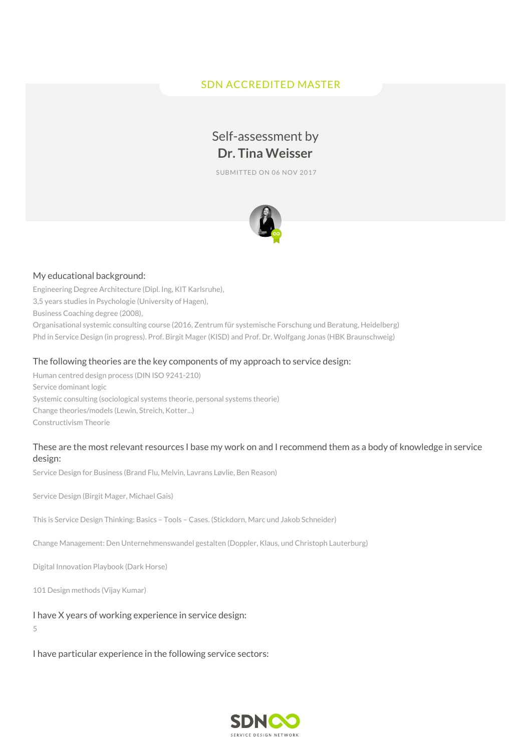# SDN ACCREDITED MASTER

# Self-assessment by **Dr. Tina Weisser**

SUBMITTED ON 06 NOV 2017



#### My educational background:

Engineering Degree Architecture (Dipl. Ing, KIT Karlsruhe), 3,5 years studies in Psychologie (University of Hagen), Business Coaching degree (2008), Organisational systemic consulting course (2016, Zentrum für systemische Forschung und Beratung, Heidelberg) Phd in Service Design (in progress). Prof. Birgit Mager (KISD) and Prof. Dr. Wolfgang Jonas (HBK Braunschweig)

#### The following theories are the key components of my approach to service design:

Human centred design process (DIN ISO 9241-210) Service dominant logic Systemic consulting (sociological systems theorie, personal systems theorie) Change theories/models (Lewin, Streich, Kotter...) Constructivism Theorie

# These are the most relevant resources I base my work on and I recommend them as a body of knowledge in service design:

Service Design for Business (Brand Flu, Melvin, Lavrans Løvlie, Ben Reason)

Service Design (Birgit Mager, Michael Gais)

This is Service Design Thinking: Basics – Tools – Cases. (Stickdorn, Marc und Jakob Schneider)

Change Management: Den Unternehmenswandel gestalten (Doppler, Klaus, und Christoph Lauterburg)

Digital Innovation Playbook (Dark Horse)

101 Design methods (Vijay Kumar)

#### I have X years of working experience in service design:

5

I have particular experience in the following service sectors:

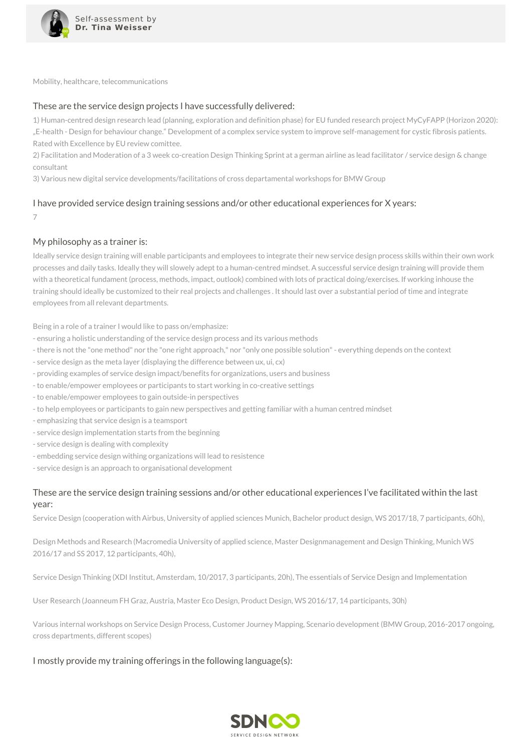

Mobility, healthcare, telecommunications

# These are the service design projects I have successfully delivered:

1) Human-centred design research lead (planning, exploration and definition phase) for EU funded research project MyCyFAPP (Horizon 2020): "E-health - Design for behaviour change." Development of a complex service system to improve self-management for cystic fibrosis patients. Rated with Excellence by EU review comittee.

2) Facilitation and Moderation of a 3 week co-creation Design Thinking Sprint at a german airline as lead facilitator / service design & change consultant

3) Various new digital service developments/facilitations of cross departamental workshops for BMW Group

# I have provided service design training sessions and/or other educational experiences for X years:

7

#### My philosophy as a trainer is:

Ideally service design training will enable participants and employees to integrate their new service design process skills within their own work processes and daily tasks. Ideally they will slowely adept to a human-centred mindset. A successful service design training will provide them with a theoretical fundament (process, methods, impact, outlook) combined with lots of practical doing/exercises. If working inhouse the training should ideally be customized to their real projects and challenges . It should last over a substantial period of time and integrate employees from all relevant departments.

Being in a role of a trainer I would like to pass on/emphasize:

- ensuring a holistic understanding of the service design process and its various methods
- there is not the "one method" nor the "one right approach," nor "only one possible solution"- everything depends on the context
- service design as the meta layer (displaying the difference between ux, ui, cx)
- providing examples of service design impact/benefits for organizations, users and business
- to enable/empower employees or participants to start working in co-creative settings
- to enable/empower employees to gain outside-in perspectives
- to help employees or participants to gain new perspectives and getting familiar with a human centred mindset
- emphasizing that service design is a teamsport
- service design implementation starts from the beginning
- service design is dealing with complexity
- embedding service design withing organizations will lead to resistence
- service design is an approach to organisational development

# These are the service design training sessions and/or other educational experiences I've facilitated within the last year:

Service Design (cooperation with Airbus, University of applied sciences Munich, Bachelor product design, WS 2017/18, 7 participants, 60h),

Design Methods and Research (Macromedia University of applied science, Master Designmanagement and Design Thinking, Munich WS 2016/17 and SS 2017, 12 participants, 40h),

Service Design Thinking (XDI Institut, Amsterdam, 10/2017, 3 participants, 20h), The essentials of Service Design and Implementation

User Research (Joanneum FH Graz, Austria, Master Eco Design, Product Design, WS 2016/17, 14 participants, 30h)

Various internal workshops on Service Design Process, Customer Journey Mapping, Scenario development (BMW Group, 2016-2017 ongoing, cross departments, different scopes)

#### I mostly provide my training offerings in the following language(s):

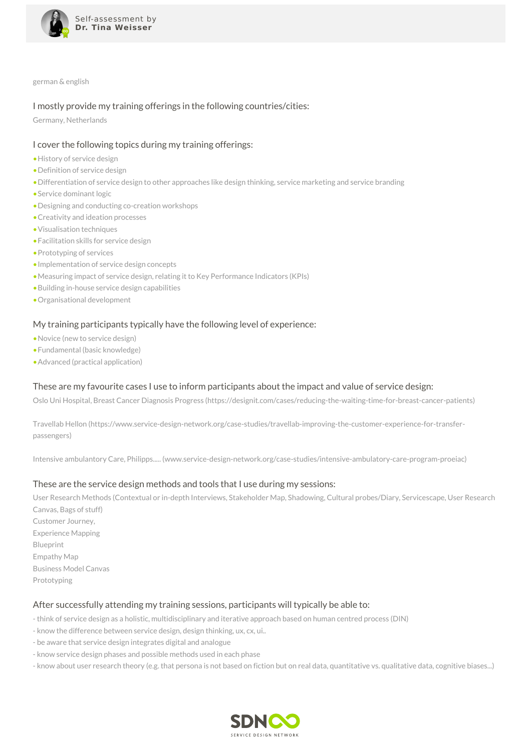

german & english

#### I mostly provide my training offerings in the following countries/cities:

Germany, Netherlands

#### I cover the following topics during my training offerings:

- •History of service design
- •Definition of service design
- •Differentiation of service design to other approaches like design thinking, service marketing and service branding
- •Service dominant logic
- •Designing and conducting co-creation workshops
- •Creativity and ideation processes
- •Visualisation techniques
- •Facilitation skills for service design
- •Prototyping of services
- •Implementation of service design concepts
- •Measuring impact of service design, relating it to Key Performance Indicators (KPIs)
- •Building in-house service design capabilities
- •Organisational development

# My training participants typically have the following level of experience:

- •Novice (new to service design)
- •Fundamental (basic knowledge)
- •Advanced (practical application)

# These are my favourite cases I use to inform participants about the impact and value of service design:

Oslo Uni Hospital, Breast Cancer Diagnosis Progress (https://designit.com/cases/reducing-the-waiting-time-for-breast-cancer-patients)

Travellab Hellon (https://www.service-design-network.org/case-studies/travellab-improving-the-customer-experience-for-transferpassengers)

Intensive ambulantory Care, Philipps..... (www.service-design-network.org/case-studies/intensive-ambulatory-care-program-proeiac)

# These are the service design methods and tools that I use during my sessions:

User Research Methods (Contextual or in-depth Interviews, Stakeholder Map, Shadowing, Cultural probes/Diary, Servicescape, User Research Canvas, Bags of stuff) Customer Journey, Experience Mapping Blueprint Empathy Map Business Model Canvas Prototyping

#### After successfully attending my training sessions, participants will typically be able to:

- think of service design as a holistic, multidisciplinary and iterative approach based on human centred process (DIN)

- know the difference between service design, design thinking, ux, cx, ui..
- be aware that service design integrates digital and analogue
- know service design phases and possible methods used in each phase

- know about user research theory (e.g. that persona is not based on fiction but on real data, quantitative vs. qualitative data, cognitive biases...)